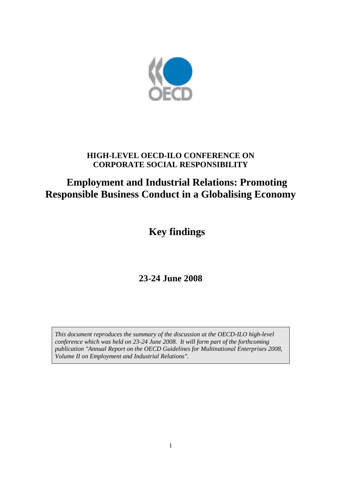

# **HIGH-LEVEL OECD-ILO CONFERENCE ON CORPORATE SOCIAL RESPONSIBILITY**

# **Employment and Industrial Relations: Promoting Responsible Business Conduct in a Globalising Economy**

**Key findings**

# **23-24 June 2008**

*This document reproduces the summary of the discussion at the OECD-ILO high-level conference which was held on 23-24 June 2008. It will form part of the forthcoming publication "Annual Report on the OECD Guidelines for Multinational Enterprises 2008, Volume II on Employment and Industrial Relations".*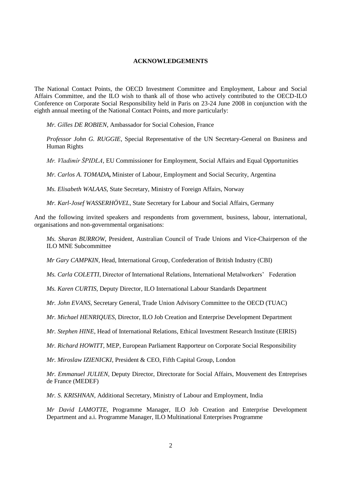# **ACKNOWLEDGEMENTS**

The National Contact Points, the OECD Investment Committee and Employment, Labour and Social Affairs Committee, and the ILO wish to thank all of those who actively contributed to the OECD-ILO Conference on Corporate Social Responsibility held in Paris on 23-24 June 2008 in conjunction with the eighth annual meeting of the National Contact Points, and more particularly:

*Mr. Gilles DE ROBIEN*, Ambassador for Social Cohesion, France

*Professor John G. RUGGIE*, Special Representative of the UN Secretary-General on Business and Human Rights

*Mr. Vladimír ŠPIDLA*, EU Commissioner for Employment, Social Affairs and Equal Opportunities

*Mr. Carlos A. TOMADA***,** Minister of Labour, Employment and Social Security, Argentina

*Ms. Elisabeth WALAAS*, State Secretary, Ministry of Foreign Affairs, Norway

*Mr. Karl-Josef WASSERHÖVEL*, State Secretary for Labour and Social Affairs, Germany

And the following invited speakers and respondents from government, business, labour, international, organisations and non-governmental organisations:

*Ms. Sharan BURROW*, President, Australian Council of Trade Unions and Vice-Chairperson of the ILO MNE Subcommittee

*Mr Gary CAMPKIN*, Head, International Group, Confederation of British Industry (CBI)

*Ms. Carla COLETTI*, Director of International Relations, International Metalworkers' Federation

*Ms. Karen CURTIS*, Deputy Director, ILO International Labour Standards Department

*Mr. John EVANS*, Secretary General, Trade Union Advisory Committee to the OECD (TUAC)

*Mr. Michael HENRIQUES*, Director, ILO Job Creation and Enterprise Development Department

*Mr. Stephen HINE*, Head of International Relations, Ethical Investment Research Institute (EIRIS)

*Mr. Richard HOWITT*, MEP, European Parliament Rapporteur on Corporate Social Responsibility

*Mr. Miroslaw IZIENICKI*, President & CEO, Fifth Capital Group, London

*Mr. Emmanuel JULIEN*, Deputy Director, Directorate for Social Affairs, Mouvement des Entreprises de France (MEDEF)

*Mr. S. KRISHNAN*, Additional Secretary, Ministry of Labour and Employment, India

*Mr David LAMOTTE*, Programme Manager, ILO Job Creation and Enterprise Development Department and a.i. Programme Manager, ILO Multinational Enterprises Programme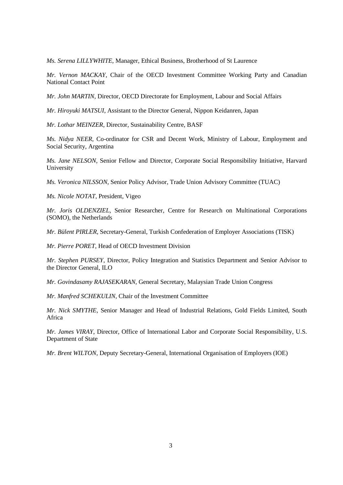*Ms. Serena LILLYWHITE*, Manager, Ethical Business, Brotherhood of St Laurence

*Mr. Vernon MACKAY*, Chair of the OECD Investment Committee Working Party and Canadian National Contact Point

*Mr. John MARTIN*, Director, OECD Directorate for Employment, Labour and Social Affairs

*Mr. Hiroyuki MATSUI*, Assistant to the Director General, Nippon Keidanren, Japan

*Mr. Lothar MEINZER*, Director, Sustainability Centre, BASF

*Ms. Nidya NEER*, Co-ordinator for CSR and Decent Work, Ministry of Labour, Employment and Social Security, Argentina

*Ms. Jane NELSON,* Senior Fellow and Director, Corporate Social Responsibility Initiative, Harvard University

*Ms. Veronica NILSSON*, Senior Policy Advisor, Trade Union Advisory Committee (TUAC)

*Ms. Nicole NOTAT*, President, Vigeo

*Mr. Joris OLDENZIEL*, Senior Researcher, Centre for Research on Multinational Corporations (SOMO), the Netherlands

*Mr. Bülent PIRLER*, Secretary-General, Turkish Confederation of Employer Associations (TISK)

*Mr. Pierre PORET*, Head of OECD Investment Division

*Mr. Stephen PURSEY*, Director, Policy Integration and Statistics Department and Senior Advisor to the Director General, ILO

*Mr. Govindasamy RAJASEKARAN*, General Secretary, Malaysian Trade Union Congress

*Mr. Manfred SCHEKULIN*, Chair of the Investment Committee

*Mr. Nick SMYTHE*, Senior Manager and Head of Industrial Relations, Gold Fields Limited, South Africa

*Mr. James VIRAY*, Director, Office of International Labor and Corporate Social Responsibility, U.S. Department of State

*Mr. Brent WILTON*, Deputy Secretary-General, International Organisation of Employers (IOE)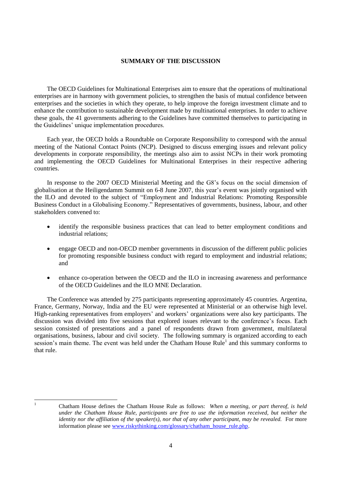# **SUMMARY OF THE DISCUSSION**

The OECD Guidelines for Multinational Enterprises aim to ensure that the operations of multinational enterprises are in harmony with government policies, to strengthen the basis of mutual confidence between enterprises and the societies in which they operate, to help improve the foreign investment climate and to enhance the contribution to sustainable development made by multinational enterprises. In order to achieve these goals, the 41 governments adhering to the Guidelines have committed themselves to participating in the Guidelines' unique implementation procedures.

Each year, the OECD holds a Roundtable on Corporate Responsibility to correspond with the annual meeting of the National Contact Points (NCP). Designed to discuss emerging issues and relevant policy developments in corporate responsibility, the meetings also aim to assist NCPs in their work promoting and implementing the OECD Guidelines for Multinational Enterprises in their respective adhering countries.

In response to the 2007 OECD Ministerial Meeting and the G8's focus on the social dimension of globalisation at the Heiligendamm Summit on 6-8 June 2007, this year's event was jointly organised with the ILO and devoted to the subject of "Employment and Industrial Relations: Promoting Responsible Business Conduct in a Globalising Economy." Representatives of governments, business, labour, and other stakeholders convened to:

- identify the responsible business practices that can lead to better employment conditions and industrial relations;
- engage OECD and non-OECD member governments in discussion of the different public policies for promoting responsible business conduct with regard to employment and industrial relations; and
- enhance co-operation between the OECD and the ILO in increasing awareness and performance of the OECD Guidelines and the ILO MNE Declaration.

The Conference was attended by 275 participants representing approximately 45 countries. Argentina, France, Germany, Norway, India and the EU were represented at Ministerial or an otherwise high level. High-ranking representatives from employers' and workers' organizations were also key participants. The discussion was divided into five sessions that explored issues relevant to the conference's focus. Each session consisted of presentations and a panel of respondents drawn from government, multilateral organisations, business, labour and civil society. The following summary is organized according to each session's main theme. The event was held under the Chatham House Rule<sup>1</sup> and this summary conforms to that rule.

 $\overline{1}$ 

<sup>1</sup> Chatham House defines the Chatham House Rule as follows: *When a meeting, or part thereof, is held under the Chatham House Rule, participants are free to use the information received, but neither the identity nor the affiliation of the speaker(s), nor that of any other participant, may be revealed.* For more information please see [www.riskythinking.com/glossary/chatham\\_house\\_rule.php.](http://www.riskythinking.com/glossary/chatham_house_rule.php)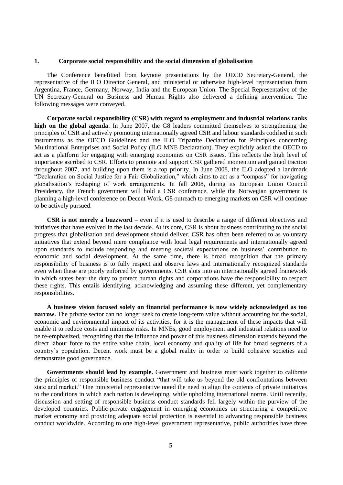#### **1. Corporate social responsibility and the social dimension of globalisation**

The Conference benefitted from keynote presentations by the OECD Secretary-General, the representative of the ILO Director General, and ministerial or otherwise high-level representation from Argentina, France, Germany, Norway, India and the European Union. The Special Representative of the UN Secretary-General on Business and Human Rights also delivered a defining intervention. The following messages were conveyed.

**Corporate social responsibility (CSR) with regard to employment and industrial relations ranks high on the global agenda**. In June 2007, the G8 leaders committed themselves to strengthening the principles of CSR and actively promoting internationally agreed CSR and labour standards codified in such instruments as the OECD Guidelines and the ILO Tripartite Declaration for Principles concerning Multinational Enterprises and Social Policy (ILO MNE Declaration). They explicitly asked the OECD to act as a platform for engaging with emerging economies on CSR issues. This reflects the high level of importance ascribed to CSR. Efforts to promote and support CSR gathered momentum and gained traction throughout 2007, and building upon them is a top priority. In June 2008, the ILO adopted a landmark "Declaration on Social Justice for a Fair Globalization," which aims to act as a "compass" for navigating globalisation's reshaping of work arrangements. In fall 2008, during its European Union Council Presidency, the French government will hold a CSR conference, while the Norwegian government is planning a high-level conference on Decent Work. G8 outreach to emerging markets on CSR will continue to be actively pursued.

**CSR is not merely a buzzword** – even if it is used to describe a range of different objectives and initiatives that have evolved in the last decade. At its core, CSR is about business contributing to the social progress that globalisation and development should deliver. CSR has often been referred to as voluntary initiatives that extend beyond mere compliance with local legal requirements and internationally agreed upon standards to include responding and meeting societal expectations on business' contribution to economic and social development. At the same time, there is broad recognition that the primary responsibility of business is to fully respect and observe laws and internationally recognized standards even when these are poorly enforced by governments. CSR slots into an internationally agreed framework in which states bear the duty to protect human rights and corporations have the responsibility to respect these rights. This entails identifying, acknowledging and assuming these different, yet complementary responsibilities.

**A business vision focused solely on financial performance is now widely acknowledged as too narrow.** The private sector can no longer seek to create long-term value without accounting for the social, economic and environmental impact of its activities, for it is the management of these impacts that will enable it to reduce costs and minimize risks. In MNEs, good employment and industrial relations need to be re-emphasized, recognizing that the influence and power of this business dimension extends beyond the direct labour force to the entire value chain, local economy and quality of life for broad segments of a country's population. Decent work must be a global reality in order to build cohesive societies and demonstrate good governance.

**Governments should lead by example.** Government and business must work together to calibrate the principles of responsible business conduct "that will take us beyond the old confrontations between state and market." One ministerial representative noted the need to align the contents of private initiatives to the conditions in which each nation is developing, while upholding international norms. Until recently, discussion and setting of responsible business conduct standards fell largely within the purview of the developed countries. Public-private engagement in emerging economies on structuring a competitive market economy and providing adequate social protection is essential to advancing responsible business conduct worldwide. According to one high-level government representative, public authorities have three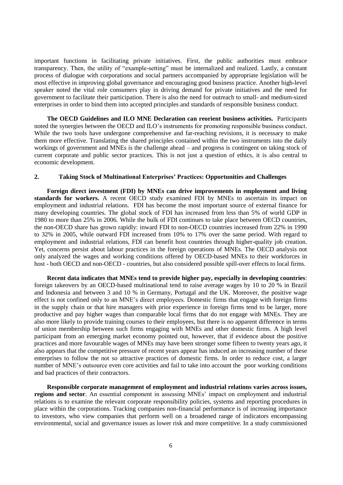important functions in facilitating private initiatives. First, the public authorities must embrace transparency. Then, the utility of "example-setting" must be internalized and realized. Lastly, a constant process of dialogue with corporations and social partners accompanied by appropriate legislation will be most effective in improving global governance and encouraging good business practice. Another high-level speaker noted the vital role consumers play in driving demand for private initiatives and the need for government to facilitate their participation. There is also the need for outreach to small- and medium-sized enterprises in order to bind them into accepted principles and standards of responsible business conduct.

**The OECD Guidelines and ILO MNE Declaration can reorient business activities.** Participants noted the synergies between the OECD and ILO's instruments for promoting responsible business conduct. While the two tools have undergone comprehensive and far-reaching revisions, it is necessary to make them more effective. Translating the shared principles contained within the two instruments into the daily workings of government and MNEs is the challenge ahead – and progress is contingent on taking stock of current corporate and public sector practices. This is not just a question of ethics, it is also central to economic development.

#### **2. Taking Stock of Multinational Enterprises' Practices: Opportunities and Challenges**

**Foreign direct investment (FDI) by MNEs can drive improvements in employment and living standards for workers.** A recent OECD study examined FDI by MNEs to ascertain its impact on employment and industrial relations. FDI has become the most important source of external finance for many developing countries. The global stock of FDI has increased from less than 5% of world GDP in 1980 to more than 25% in 2006. While the bulk of FDI continues to take place between OECD countries, the non-OECD share has grown rapidly: inward FDI to non-OECD countries increased from 22% in 1990 to 32% in 2005, while outward FDI increased from 10% to 17% over the same period. With regard to employment and industrial relations, FDI can benefit host countries through higher-quality job creation. Yet, concerns persist about labour practices in the foreign operations of MNEs. The OECD analysis not only analyzed the wages and working conditions offered by OECD-based MNEs to their workforces in host - both OECD and non-OECD - countries, but also considered possible spill-over effects to local firms.

**Recent data indicates that MNEs tend to provide higher pay, especially in developing countries**: foreign takeovers by an OECD-based multinational tend to raise average wages by 10 to 20 % in Brazil and Indonesia and between 3 and 10 % in Germany, Portugal and the UK. Moreover, the positive wage effect is not confined only to an MNE's direct employees. Domestic firms that engage with foreign firms in the supply chain or that hire managers with prior experience in foreign firms tend to be larger, more productive and pay higher wages than comparable local firms that do not engage with MNEs. They are also more likely to provide training courses to their employees, but there is no apparent difference in terms of union membership between such firms engaging with MNEs and other domestic firms. A high level participant from an emerging market economy pointed out, however, that if evidence about the positive practices and more favourable wages of MNEs may have been stronger some fifteen to twenty years ago, it also appears that the competitive pressure of recent years appear has induced an increasing number of these enterprises to follow the not so attractive practices of domestic firms. In order to reduce cost, a larger number of MNE's outsource even core activities and fail to take into account the poor working conditions and bad practices of their contractors.

**Responsible corporate management of employment and industrial relations varies across issues, regions and sector**. An essential component in assessing MNEs' impact on employment and industrial relations is to examine the relevant corporate responsibility policies, systems and reporting procedures in place within the corporations. Tracking companies non-financial performance is of increasing importance to investors, who view companies that perform well on a broadened range of indicators encompassing environmental, social and governance issues as lower risk and more competitive. In a study commissioned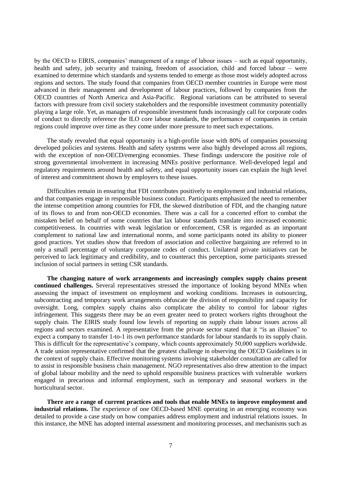by the OECD to EIRIS, companies' management of a range of labour issues – such as equal opportunity, health and safety, job security and training, freedom of association, child and forced labour – were examined to determine which standards and systems tended to emerge as those most widely adopted across regions and sectors. The study found that companies from OECD member countries in Europe were most advanced in their management and development of labour practices, followed by companies from the OECD countries of North America and Asia-Pacific. Regional variations can be attributed to several factors with pressure from civil society stakeholders and the responsible investment community potentially playing a large role. Yet, as managers of responsible investment funds increasingly call for corporate codes of conduct to directly reference the ILO core labour standards, the performance of companies in certain regions could improve over time as they come under more pressure to meet such expectations.

The study revealed that equal opportunity is a high-profile issue with 80% of companies possessing developed policies and systems. Health and safety systems were also highly developed across all regions, with the exception of non-OECD/emerging economies. These findings underscore the positive role of strong governmental involvement in increasing MNEs positive performance. Well-developed legal and regulatory requirements around health and safety, and equal opportunity issues can explain the high level of interest and commitment shown by employers to these issues.

Difficulties remain in ensuring that FDI contributes positively to employment and industrial relations, and that companies engage in responsible business conduct. Participants emphasized the need to remember the intense competition among countries for FDI, the skewed distribution of FDI, and the changing nature of its flows to and from non-OECD economies. There was a call for a concerted effort to combat the mistaken belief on behalf of some countries that lax labour standards translate into increased economic competitiveness. In countries with weak legislation or enforcement, CSR is regarded as an important complement to national law and international norms, and some participants noted its ability to pioneer good practices. Yet studies show that freedom of association and collective bargaining are referred to in only a small percentage of voluntary corporate codes of conduct. Unilateral private initiatives can be perceived to lack legitimacy and credibility, and to counteract this perception, some participants stressed inclusion of social partners in setting CSR standards.

**The changing nature of work arrangements and increasingly complex supply chains present continued challenges.** Several representatives stressed the importance of looking beyond MNEs when assessing the impact of investment on employment and working conditions. Increases in outsourcing, subcontracting and temporary work arrangements obfuscate the division of responsibility and capacity for oversight. Long, complex supply chains also complicate the ability to control for labour rights infringement. This suggests there may be an even greater need to protect workers rights throughout the supply chain. The EIRIS study found low levels of reporting on supply chain labour issues across all regions and sectors examined. A representative from the private sector stated that it "is an illusion" to expect a company to transfer 1-to-1 its own performance standards for labour standards to its supply chain. This is difficult for the representative's company, which counts approximately 50,000 suppliers worldwide. A trade union representative confirmed that the greatest challenge in observing the OECD Guidelines is in the context of supply chain. Effective monitoring systems involving stakeholder consultation are called for to assist in responsible business chain management. NGO representatives also drew attention to the impact of global labour mobility and the need to uphold responsible business practices with vulnerable workers engaged in precarious and informal employment, such as temporary and seasonal workers in the horticultural sector.

**There are a range of current practices and tools that enable MNEs to improve employment and industrial relations.** The experience of one OECD-based MNE operating in an emerging economy was detailed to provide a case study on how companies address employment and industrial relations issues. In this instance, the MNE has adopted internal assessment and monitoring processes, and mechanisms such as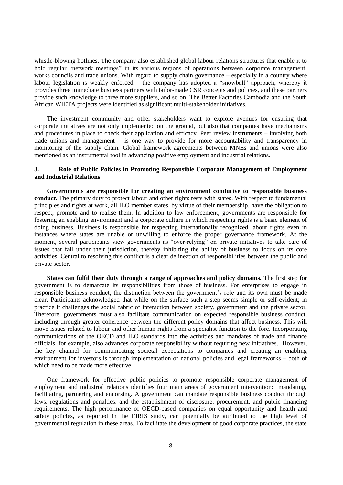whistle-blowing hotlines. The company also established global labour relations structures that enable it to hold regular "network meetings" in its various regions of operations between corporate management, works councils and trade unions. With regard to supply chain governance – especially in a country where labour legislation is weakly enforced – the company has adopted a "snowball" approach, whereby it provides three immediate business partners with tailor-made CSR concepts and policies, and these partners provide such knowledge to three more suppliers, and so on. The Better Factories Cambodia and the South African WIETA projects were identified as significant multi-stakeholder initiatives.

The investment community and other stakeholders want to explore avenues for ensuring that corporate initiatives are not only implemented on the ground, but also that companies have mechanisms and procedures in place to check their application and efficacy. Peer review instruments – involving both trade unions and management – is one way to provide for more accountability and transparency in monitoring of the supply chain. Global framework agreements between MNEs and unions were also mentioned as an instrumental tool in advancing positive employment and industrial relations.

# **3. Role of Public Policies in Promoting Responsible Corporate Management of Employment and Industrial Relations**

**Governments are responsible for creating an environment conducive to responsible business conduct.** The primary duty to protect labour and other rights rests with states. With respect to fundamental principles and rights at work, all ILO member states, by virtue of their membership, have the obligation to respect, promote and to realise them. In addition to law enforcement, governments are responsible for fostering an enabling environment and a corporate culture in which respecting rights is a basic element of doing business. Business is responsible for respecting internationally recognized labour rights even in instances where states are unable or unwilling to enforce the proper governance framework. At the moment, several participants view governments as "over-relying" on private initiatives to take care of issues that fall under their jurisdiction, thereby inhibiting the ability of business to focus on its core activities. Central to resolving this conflict is a clear delineation of responsibilities between the public and private sector.

**States can fulfil their duty through a range of approaches and policy domains.** The first step for government is to demarcate its responsibilities from those of business. For enterprises to engage in responsible business conduct, the distinction between the government's role and its own must be made clear. Participants acknowledged that while on the surface such a step seems simple or self-evident; in practice it challenges the social fabric of interaction between society, government and the private sector. Therefore, governments must also facilitate communication on expected responsible business conduct, including through greater coherence between the different policy domains that affect business. This will move issues related to labour and other human rights from a specialist function to the fore. Incorporating communications of the OECD and ILO standards into the activities and mandates of trade and finance officials, for example, also advances corporate responsibility without requiring new initiatives. However, the key channel for communicating societal expectations to companies and creating an enabling environment for investors is through implementation of national policies and legal frameworks – both of which need to be made more effective.

One framework for effective public policies to promote responsible corporate management of employment and industrial relations identifies four main areas of government intervention: mandating, facilitating, partnering and endorsing. A government can mandate responsible business conduct through laws, regulations and penalties, and the establishment of disclosure, procurement, and public financing requirements. The high performance of OECD-based companies on equal opportunity and health and safety policies, as reported in the EIRIS study, can potentially be attributed to the high level of governmental regulation in these areas. To facilitate the development of good corporate practices, the state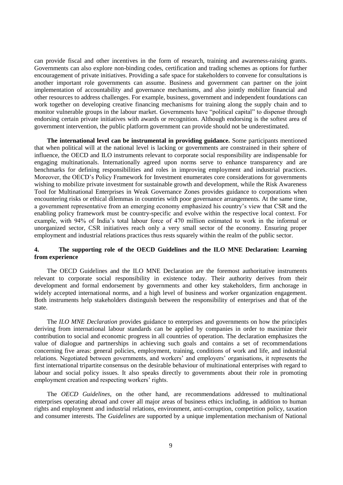can provide fiscal and other incentives in the form of research, training and awareness-raising grants. Governments can also explore non-binding codes, certification and trading schemes as options for further encouragement of private initiatives. Providing a safe space for stakeholders to convene for consultations is another important role governments can assume. Business and government can partner on the joint implementation of accountability and governance mechanisms, and also jointly mobilize financial and other resources to address challenges. For example, business, government and independent foundations can work together on developing creative financing mechanisms for training along the supply chain and to monitor vulnerable groups in the labour market. Governments have "political capital" to dispense through endorsing certain private initiatives with awards or recognition. Although endorsing is the softest area of government intervention, the public platform government can provide should not be underestimated.

**The international level can be instrumental in providing guidance.** Some participants mentioned that when political will at the national level is lacking or governments are constrained in their sphere of influence, the OECD and ILO instruments relevant to corporate social responsibility are indispensable for engaging multinationals. Internationally agreed upon norms serve to enhance transparency and are benchmarks for defining responsibilities and roles in improving employment and industrial practices. Moreover, the OECD's Policy Framework for Investment enumerates core considerations for governments wishing to mobilize private investment for sustainable growth and development, while the Risk Awareness Tool for Multinational Enterprises in Weak Governance Zones provides guidance to corporations when encountering risks or ethical dilemmas in countries with poor governance arrangements. At the same time, a government representative from an emerging economy emphasized his country's view that CSR and the enabling policy framework must be country-specific and evolve within the respective local context. For example, with 94% of India's total labour force of 470 million estimated to work in the informal or unorganized sector, CSR initiatives reach only a very small sector of the economy. Ensuring proper employment and industrial relations practices thus rests squarely within the realm of the public sector.

# **4. The supporting role of the OECD Guidelines and the ILO MNE Declaration: Learning from experience**

The OECD Guidelines and the ILO MNE Declaration are the foremost authoritative instruments relevant to corporate social responsibility in existence today. Their authority derives from their development and formal endorsement by governments and other key stakeholders, firm anchorage in widely accepted international norms, and a high level of business and worker organization engagement. Both instruments help stakeholders distinguish between the responsibility of enterprises and that of the state.

The *ILO MNE Declaration* provides guidance to enterprises and governments on how the principles deriving from international labour standards can be applied by companies in order to maximize their contribution to social and economic progress in all countries of operation. The declaration emphasizes the value of dialogue and partnerships in achieving such goals and contains a set of recommendations concerning five areas: general policies, employment, training, conditions of work and life, and industrial relations. Negotiated between governments, and workers' and employers' organisations, it represents the first international tripartite consensus on the desirable behaviour of multinational enterprises with regard to labour and social policy issues. It also speaks directly to governments about their role in promoting employment creation and respecting workers' rights.

The *OECD Guidelines*, on the other hand, are recommendations addressed to multinational enterprises operating abroad and cover all major areas of business ethics including, in addition to human rights and employment and industrial relations, environment, anti-corruption, competition policy, taxation and consumer interests. The *Guidelines* are supported by a unique implementation mechanism of National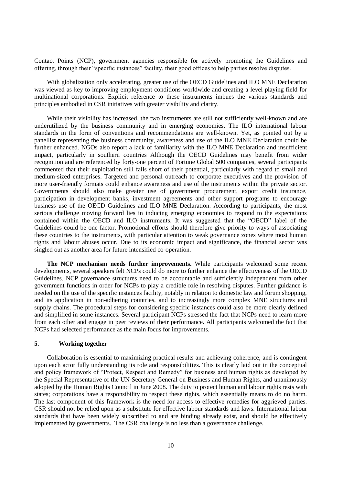Contact Points (NCP), government agencies responsible for actively promoting the Guidelines and offering, through their "specific instances" facility, their good offices to help parties resolve disputes.

With globalization only accelerating, greater use of the OECD Guidelines and ILO MNE Declaration was viewed as key to improving employment conditions worldwide and creating a level playing field for multinational corporations. Explicit reference to these instruments imbues the various standards and principles embodied in CSR initiatives with greater visibility and clarity.

While their visibility has increased, the two instruments are still not sufficiently well-known and are underutilized by the business community and in emerging economies. The ILO international labour standards in the form of conventions and recommendations are well-known. Yet, as pointed out by a panellist representing the business community, awareness and use of the ILO MNE Declaration could be further enhanced. NGOs also report a lack of familiarity with the ILO MNE Declaration and insufficient impact, particularly in southern countries Although the OECD Guidelines may benefit from wider recognition and are referenced by forty-one percent of Fortune Global 500 companies, several participants commented that their exploitation still falls short of their potential, particularly with regard to small and medium-sized enterprises. Targeted and personal outreach to corporate executives and the provision of more user-friendly formats could enhance awareness and use of the instruments within the private sector. Governments should also make greater use of government procurement, export credit insurance, participation in development banks, investment agreements and other support programs to encourage business use of the OECD Guidelines and ILO MNE Declaration. According to participants, the most serious challenge moving forward lies in inducing emerging economies to respond to the expectations contained within the OECD and ILO instruments. It was suggested that the "OECD" label of the Guidelines could be one factor. Promotional efforts should therefore give priority to ways of associating these countries to the instruments, with particular attention to weak governance zones where most human rights and labour abuses occur. Due to its economic impact and significance, the financial sector was singled out as another area for future intensified co-operation.

**The NCP mechanism needs further improvements.** While participants welcomed some recent developments, several speakers felt NCPs could do more to further enhance the effectiveness of the OECD Guidelines. NCP governance structures need to be accountable and sufficiently independent from other government functions in order for NCPs to play a credible role in resolving disputes. Further guidance is needed on the use of the specific instances facility, notably in relation to domestic law and forum shopping, and its application in non-adhering countries, and to increasingly more complex MNE structures and supply chains. The procedural steps for considering specific instances could also be more clearly defined and simplified in some instances. Several participant NCPs stressed the fact that NCPs need to learn more from each other and engage in peer reviews of their performance. All participants welcomed the fact that NCPs had selected performance as the main focus for improvements.

# **5. Working together**

Collaboration is essential to maximizing practical results and achieving coherence, and is contingent upon each actor fully understanding its role and responsibilities. This is clearly laid out in the conceptual and policy framework of "Protect, Respect and Remedy" for business and human rights as developed by the Special Representative of the UN-Secretary General on Business and Human Rights, and unanimously adopted by the Human Rights Council in June 2008. The duty to protect human and labour rights rests with states; corporations have a responsibility to respect these rights, which essentially means to do no harm. The last component of this framework is the need for access to effective remedies for aggrieved parties. CSR should not be relied upon as a substitute for effective labour standards and laws. International labour standards that have been widely subscribed to and are binding already exist, and should be effectively implemented by governments. The CSR challenge is no less than a governance challenge.